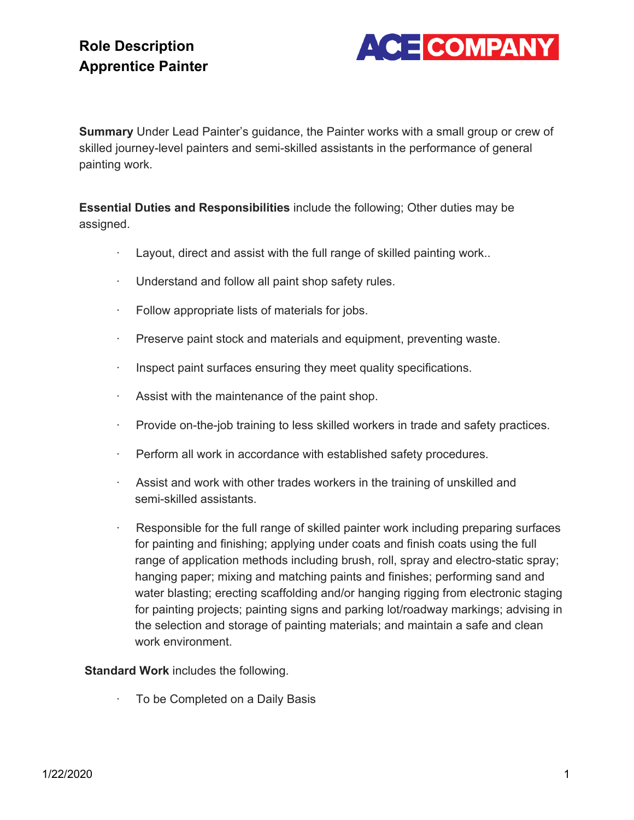# **Role Description Apprentice Painter**



**Summary** Under Lead Painter's guidance, the Painter works with a small group or crew of skilled journey-level painters and semi-skilled assistants in the performance of general painting work.

**Essential Duties and Responsibilities** include the following; Other duties may be assigned.

- · Layout, direct and assist with the full range of skilled painting work..
- · Understand and follow all paint shop safety rules.
- · Follow appropriate lists of materials for jobs.
- · Preserve paint stock and materials and equipment, preventing waste.
- · Inspect paint surfaces ensuring they meet quality specifications.
- · Assist with the maintenance of the paint shop.
- · Provide on-the-job training to less skilled workers in trade and safety practices.
- · Perform all work in accordance with established safety procedures.
- · Assist and work with other trades workers in the training of unskilled and semi-skilled assistants.
- Responsible for the full range of skilled painter work including preparing surfaces for painting and finishing; applying under coats and finish coats using the full range of application methods including brush, roll, spray and electro-static spray; hanging paper; mixing and matching paints and finishes; performing sand and water blasting; erecting scaffolding and/or hanging rigging from electronic staging for painting projects; painting signs and parking lot/roadway markings; advising in the selection and storage of painting materials; and maintain a safe and clean work environment.

#### **Standard Work** includes the following.

To be Completed on a Daily Basis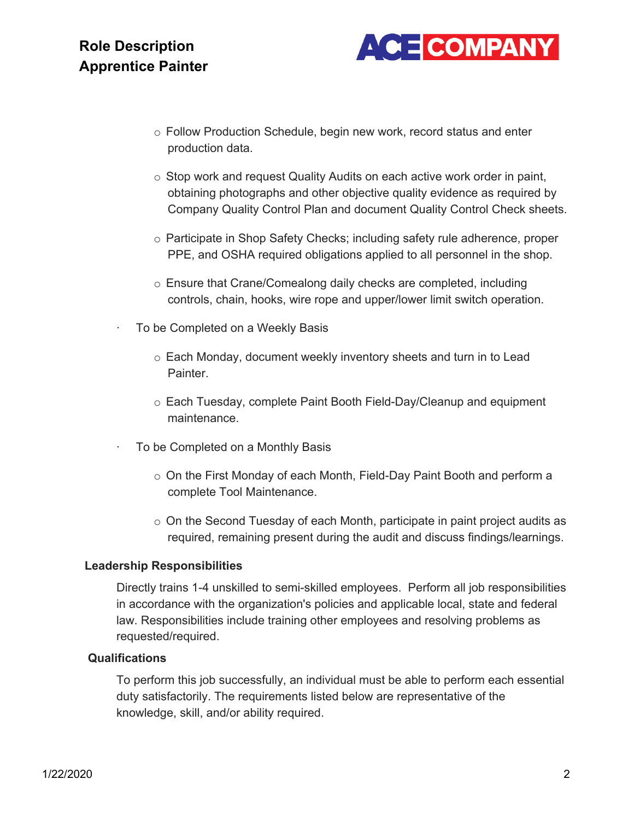### **Role Description Apprentice Painter**



- o Follow Production Schedule, begin new work, record status and enter production data.
- $\circ$  Stop work and request Quality Audits on each active work order in paint, obtaining photographs and other objective quality evidence as required by Company Quality Control Plan and document Quality Control Check sheets.
- o Participate in Shop Safety Checks; including safety rule adherence, proper PPE, and OSHA required obligations applied to all personnel in the shop.
- o Ensure that Crane/Comealong daily checks are completed, including controls, chain, hooks, wire rope and upper/lower limit switch operation.
- To be Completed on a Weekly Basis
	- o Each Monday, document weekly inventory sheets and turn in to Lead Painter.
	- $\circ$  Each Tuesday, complete Paint Booth Field-Day/Cleanup and equipment maintenance.
- To be Completed on a Monthly Basis
	- o On the First Monday of each Month, Field-Day Paint Booth and perform a complete Tool Maintenance.
	- $\circ$  On the Second Tuesday of each Month, participate in paint project audits as required, remaining present during the audit and discuss findings/learnings.

#### **Leadership Responsibilities**

Directly trains 1-4 unskilled to semi-skilled employees. Perform all job responsibilities in accordance with the organization's policies and applicable local, state and federal law. Responsibilities include training other employees and resolving problems as requested/required.

#### **Qualifications**

To perform this job successfully, an individual must be able to perform each essential duty satisfactorily. The requirements listed below are representative of the knowledge, skill, and/or ability required.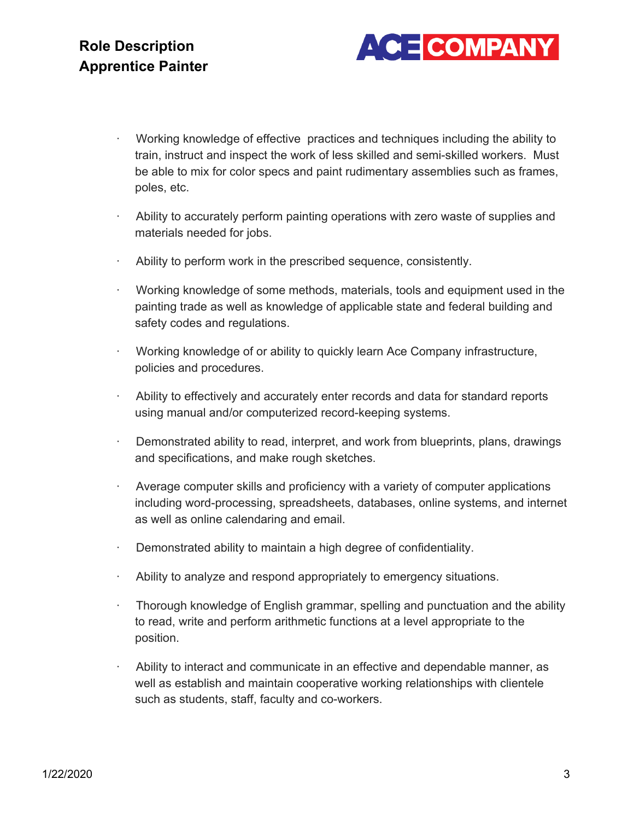

- · Working knowledge of effective practices and techniques including the ability to train, instruct and inspect the work of less skilled and semi-skilled workers. Must be able to mix for color specs and paint rudimentary assemblies such as frames, poles, etc.
- · Ability to accurately perform painting operations with zero waste of supplies and materials needed for jobs.
- Ability to perform work in the prescribed sequence, consistently.
- · Working knowledge of some methods, materials, tools and equipment used in the painting trade as well as knowledge of applicable state and federal building and safety codes and regulations.
- · Working knowledge of or ability to quickly learn Ace Company infrastructure, policies and procedures.
- Ability to effectively and accurately enter records and data for standard reports using manual and/or computerized record-keeping systems.
- Demonstrated ability to read, interpret, and work from blueprints, plans, drawings and specifications, and make rough sketches.
- Average computer skills and proficiency with a variety of computer applications including word-processing, spreadsheets, databases, online systems, and internet as well as online calendaring and email.
- Demonstrated ability to maintain a high degree of confidentiality.
- · Ability to analyze and respond appropriately to emergency situations.
- · Thorough knowledge of English grammar, spelling and punctuation and the ability to read, write and perform arithmetic functions at a level appropriate to the position.
- · Ability to interact and communicate in an effective and dependable manner, as well as establish and maintain cooperative working relationships with clientele such as students, staff, faculty and co-workers.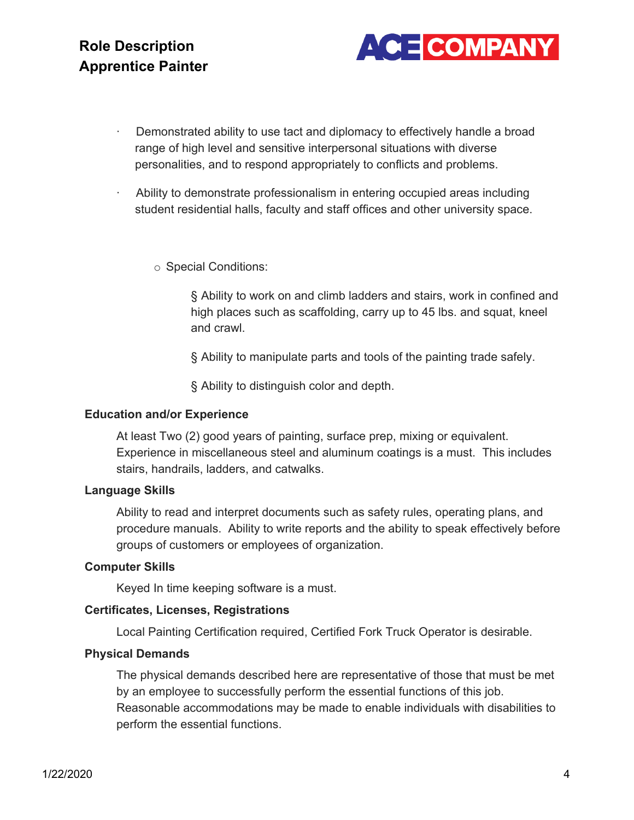

- Demonstrated ability to use tact and diplomacy to effectively handle a broad range of high level and sensitive interpersonal situations with diverse personalities, and to respond appropriately to conflicts and problems.
- · Ability to demonstrate professionalism in entering occupied areas including student residential halls, faculty and staff offices and other university space.

o Special Conditions:

§ Ability to work on and climb ladders and stairs, work in confined and high places such as scaffolding, carry up to 45 lbs. and squat, kneel and crawl.

§ Ability to manipulate parts and tools of the painting trade safely.

§ Ability to distinguish color and depth.

#### **Education and/or Experience**

At least Two (2) good years of painting, surface prep, mixing or equivalent. Experience in miscellaneous steel and aluminum coatings is a must. This includes stairs, handrails, ladders, and catwalks.

#### **Language Skills**

Ability to read and interpret documents such as safety rules, operating plans, and procedure manuals. Ability to write reports and the ability to speak effectively before groups of customers or employees of organization.

#### **Computer Skills**

Keyed In time keeping software is a must.

#### **Certificates, Licenses, Registrations**

Local Painting Certification required, Certified Fork Truck Operator is desirable.

#### **Physical Demands**

The physical demands described here are representative of those that must be met by an employee to successfully perform the essential functions of this job. Reasonable accommodations may be made to enable individuals with disabilities to perform the essential functions.